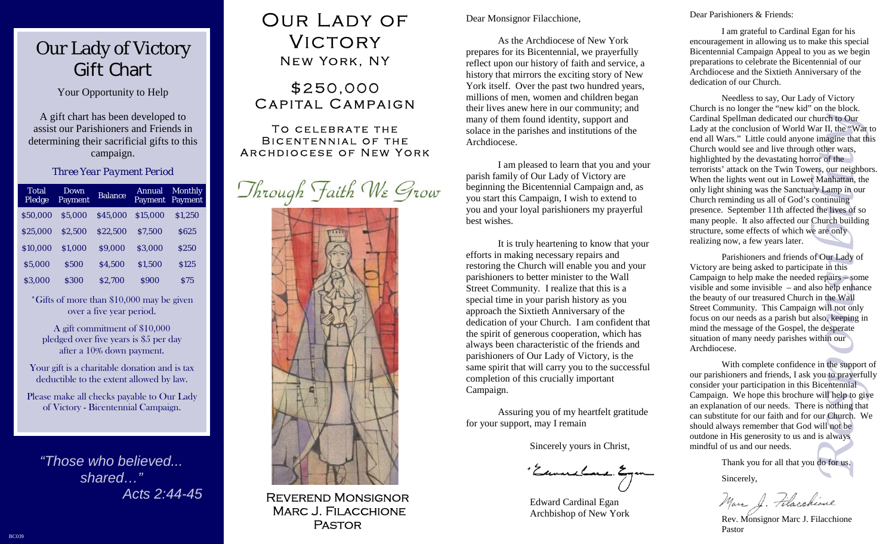## Our Lady of Victory Gift Chart

Your Opportunity to Help

A gift chart has been developed to assist our Parishioners and Friends in determining their sacrificial gifts to this campaign.

#### *Three Year Payment Period*

| Total<br>Pledge | Down<br>Payment | <b>Balance</b> | <b>Annual</b><br><b>Payment</b> | <b>Monthly</b><br><b>Payment</b> |
|-----------------|-----------------|----------------|---------------------------------|----------------------------------|
| \$50,000        | \$5.000         | \$45,000       | \$15,000                        | \$1,250                          |
| \$25,000        | \$2.500         | \$22,500       | \$7.500                         | <b>S625</b>                      |
| \$10,000        | \$1.000         | \$9,000        | \$3.000                         | \$250                            |
| \$5,000         | \$500           | \$4.500        | \$1,500                         | <b>S125</b>                      |
| \$3.000         | \$300           | \$2.700        | \$900                           | <b>S75</b>                       |

\*Gifts of more than \$10,000 may be given<br>over a five year period.<br>A gift commitment of \$10,000<br>pledged over five years is \$5 per day<br>after a 10% down payment.<br>Your gift is a charitable donation and is tax<br>deductible to th

*"Those who believed...shared…" Acts 2:44-45* 

## OUR LADY OF Victory New York, NY

### \$250,000 Capital Campaign

#### To celebrate the Bicentennial of the Archdiocese of New York





**REVERERFREE** Reverend Monsignor Marc J. Filacchione

Dear Monsignor Filacchione,

 As the Archdiocese of New York prepares for its Bicentennial, we prayerfully reflect upon our history of faith and service, a history that mirrors the exciting story of New York itself. Over the past two hundred years, millions of men, women and children began their lives anew here in our community; and many of them found identity, support and solace in the parishes and institutions of the Archdiocese.

 I am pleased to learn that you and your parish family of Our Lady of Victory are beginning the Bicentennial Campaign and, as you start this Campaign, I wish to extend to you and your loyal parishioners my prayerful best wishes.

 It is truly heartening to know that your efforts in making necessary repairs and restoring the Church will enable you and your parishioners to better minister to the Wall Street Community. I realize that this is a special time in your parish history as you approach the Sixtieth Anniversary of the dedication of your Church. I am confident that the spirit of generous cooperation, which has always been characteristic of the friends and parishioners of Our Lady of Victory, is the same spirit that will carry you to the successful completion of this crucially important Campaign.

 Assuring you of my heartfelt gratitude for your support, may I remain

Sincerely yours in Christ,

'Eurusburg Egm

 Edward Cardinal Egan Archbishop of New York

Dear Parishioners & Friends:

 I am grateful to Cardinal Egan for his encouragement in allowing us to make this special Bicentennial Campaign Appeal to you as we begin preparations to celebrate the Bicentennial of our Archdiocese and the Sixtieth Anniversary of the dedication of our Church.

 Needless to say, Our Lady of Victory Church is no longer the "new kid" on the block. Cardinal Spellman dedicated our church to Our Lady at the conclusion of World War II, the "War to end all Wars." Little could anyone imagine that this Church would see and live through other wars, highlighted by the devastating horror of the terrorists' attack on the Twin Towers, our neighbors. When the lights went out in Lower Manhattan, the only light shining was the Sanctuary Lamp in our Church reminding us all of God's continuing presence. September 11th affected the lives of so many people. It also affected our Church building structure, some effects of which we are only realizing now, a few years later.

 Parishioners and friends of Our Lady of Victory are being asked to participate in this Campaign to help make the needed repairs – some visible and some invisible – and also help enhance the beauty of our treasured Church in the Wall Street Community. This Campaign will not only focus on our needs as a parish but also, keeping in mind the message of the Gospel, the desperate situation of many needy parishes within our Archdiocese.

 With complete confidence in the support of our parishioners and friends, I ask you to prayerfully consider your participation in this Bicentennial Campaign. We hope this brochure will help to give an explanation of our needs. There is nothing that can substitute for our faith and for our Church. We should always remember that God will not be outdone in His generosity to us and is always mindful of us and our needs.

Thank you for all that you do for us.

Sincerely,

Marc J. Filacchione

 Rev. Monsignor Marc J. Filacchione Pastor